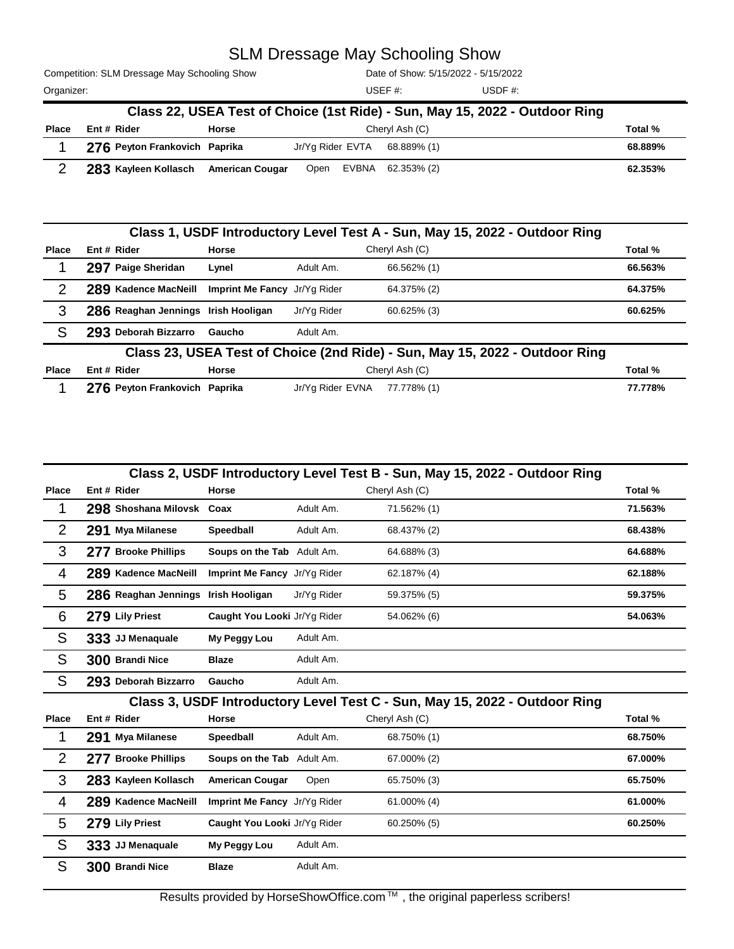## SLM Dressage May Schooling Show

Competition: SLM Dressage May Schooling Show Organizer: USDF #:

Date of Show: 5/15/2022 - 5/15/2022

USEF #:

| Class 22, USEA Test of Choice (1st Ride) - Sun, May 15, 2022 - Outdoor Ring |                                      |       |      |  |                              |         |  |
|-----------------------------------------------------------------------------|--------------------------------------|-------|------|--|------------------------------|---------|--|
| <b>Place</b>                                                                | Ent # Rider                          | Horse |      |  | Chervl Ash (C)               | Total % |  |
|                                                                             | 276 Peyton Frankovich Paprika        |       |      |  | Jr/Yg Rider EVTA 68.889% (1) | 68.889% |  |
|                                                                             | 283 Kayleen Kollasch American Cougar |       | Open |  | EVBNA 62.353% (2)            | 62.353% |  |

|              |                                     |                              |                  | Class 1, USDF Introductory Level Test A - Sun, May 15, 2022 - Outdoor Ring  |         |
|--------------|-------------------------------------|------------------------------|------------------|-----------------------------------------------------------------------------|---------|
| <b>Place</b> | Ent # Rider                         | <b>Horse</b>                 |                  | Cheryl Ash (C)                                                              | Total % |
|              | 297 Paige Sheridan                  | Lynel                        | Adult Am.        | 66.562% (1)                                                                 | 66.563% |
| 2            | 289 Kadence MacNeill                | Imprint Me Fancy Jr/Yg Rider |                  | 64.375% (2)                                                                 | 64.375% |
| 3            | 286 Reaghan Jennings Irish Hooligan |                              | Jr/Yg Rider      | 60.625% (3)                                                                 | 60.625% |
| S            | 293 Deborah Bizzarro                | Gaucho                       | Adult Am.        |                                                                             |         |
|              |                                     |                              |                  | Class 23, USEA Test of Choice (2nd Ride) - Sun, May 15, 2022 - Outdoor Ring |         |
| <b>Place</b> | Ent # Rider                         | Horse                        |                  | Cheryl Ash (C)                                                              | Total % |
|              | 276 Peyton Frankovich Paprika       |                              | Jr/Yg Rider EVNA | 77.778% (1)                                                                 | 77.778% |

|                | Class 2, USDF Introductory Level Test B - Sun, May 15, 2022 - Outdoor Ring |                              |             |                                                                            |         |  |  |  |
|----------------|----------------------------------------------------------------------------|------------------------------|-------------|----------------------------------------------------------------------------|---------|--|--|--|
| <b>Place</b>   | Ent # Rider                                                                | <b>Horse</b>                 |             | Cheryl Ash (C)                                                             | Total % |  |  |  |
| 1              | 298 Shoshana Milovsk Coax                                                  |                              | Adult Am.   | 71.562% (1)                                                                | 71.563% |  |  |  |
| $\overline{2}$ | 291 Mya Milanese                                                           | Speedball                    | Adult Am.   | 68.437% (2)                                                                | 68.438% |  |  |  |
| 3              | 277 Brooke Phillips                                                        | Soups on the Tab Adult Am.   |             | 64.688% (3)                                                                | 64.688% |  |  |  |
| 4              | 289 Kadence MacNeill                                                       | Imprint Me Fancy Jr/Yg Rider |             | 62.187% (4)                                                                | 62.188% |  |  |  |
| 5              | 286 Reaghan Jennings Irish Hooligan                                        |                              | Jr/Yg Rider | 59.375% (5)                                                                | 59.375% |  |  |  |
| 6              | 279 Lily Priest                                                            | Caught You Looki Jr/Yg Rider |             | 54.062% (6)                                                                | 54.063% |  |  |  |
| S              | 333 JJ Menaquale                                                           | My Peggy Lou                 | Adult Am.   |                                                                            |         |  |  |  |
| S              | 300 Brandi Nice                                                            | <b>Blaze</b>                 | Adult Am.   |                                                                            |         |  |  |  |
| S              | 293 Deborah Bizzarro                                                       | Gaucho                       | Adult Am.   |                                                                            |         |  |  |  |
|                |                                                                            |                              |             | Class 3, USDF Introductory Level Test C - Sun, May 15, 2022 - Outdoor Ring |         |  |  |  |
| Place          | Ent # Rider                                                                | Horse                        |             | Cheryl Ash (C)                                                             | Total % |  |  |  |
| 1              | 291 Mya Milanese                                                           | <b>Speedball</b>             | Adult Am.   | 68.750% (1)                                                                | 68.750% |  |  |  |
| 2              | 277 Brooke Phillips                                                        | Soups on the Tab Adult Am.   |             | 67.000% (2)                                                                | 67.000% |  |  |  |
| 3              | 283 Kayleen Kollasch                                                       | <b>American Cougar</b>       | Open        | 65.750% (3)                                                                | 65.750% |  |  |  |
| 4              | 289 Kadence MacNeill                                                       | Imprint Me Fancy Jr/Yg Rider |             | 61.000% (4)                                                                | 61.000% |  |  |  |
| 5              | 279 Lily Priest                                                            | Caught You Looki Jr/Yg Rider |             | 60.250% (5)                                                                | 60.250% |  |  |  |
| S              | 333 JJ Menaquale                                                           | My Peggy Lou                 | Adult Am.   |                                                                            |         |  |  |  |
| S              | 300 Brandi Nice                                                            | <b>Blaze</b>                 | Adult Am.   |                                                                            |         |  |  |  |

Results provided by HorseShowOffice.com<sup>TM</sup>, the original paperless scribers!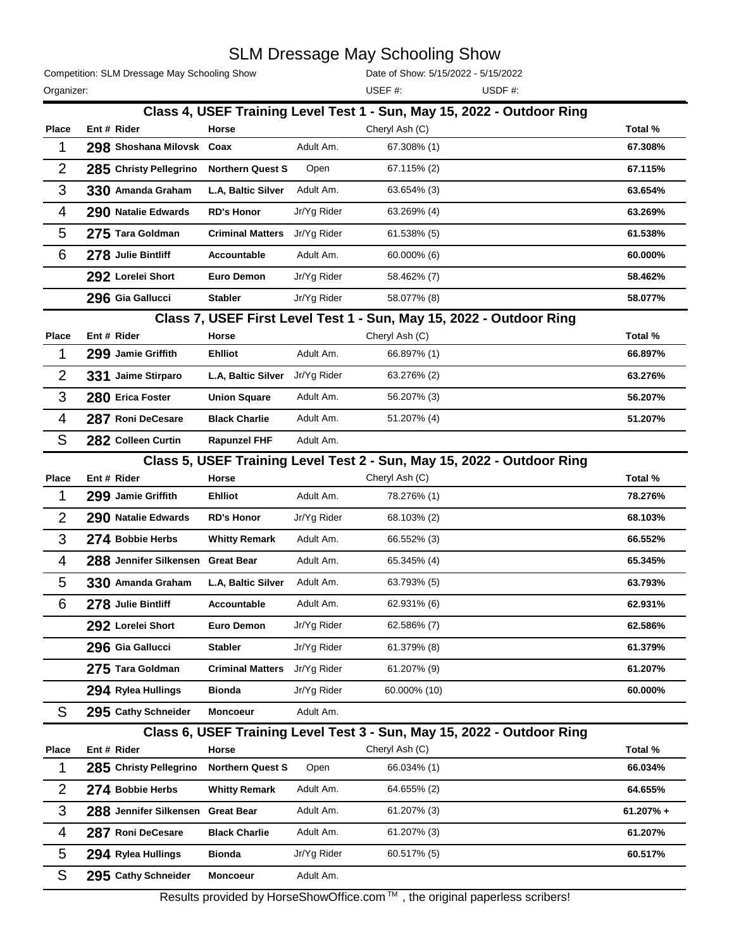## SLM Dressage May Schooling Show

Competition: SLM Dressage May Schooling Show

Date of Show: 5/15/2022 - 5/15/2022

Organizer: USDF #: USEF #:

|                |                           |                         |             | Class 4, USEF Training Level Test 1 - Sun, May 15, 2022 - Outdoor Ring     |             |
|----------------|---------------------------|-------------------------|-------------|----------------------------------------------------------------------------|-------------|
| Place          | Ent # Rider               | Horse                   |             | Cheryl Ash (C)                                                             | Total %     |
| 1              | 298 Shoshana Milovsk Coax |                         | Adult Am.   | 67.308% (1)                                                                | 67.308%     |
| $\overline{2}$ | 285 Christy Pellegrino    | <b>Northern Quest S</b> | Open        | 67.115% (2)                                                                | 67.115%     |
| 3              | 330 Amanda Graham         | L.A, Baltic Silver      | Adult Am.   | 63.654% (3)                                                                | 63.654%     |
| 4              | 290 Natalie Edwards       | <b>RD's Honor</b>       | Jr/Yg Rider | 63.269% (4)                                                                | 63.269%     |
| 5              | 275 Tara Goldman          | <b>Criminal Matters</b> | Jr/Yg Rider | 61.538% (5)                                                                | 61.538%     |
| 6              | 278 Julie Bintliff        | Accountable             | Adult Am.   | 60.000% (6)                                                                | 60.000%     |
|                | 292 Lorelei Short         | <b>Euro Demon</b>       | Jr/Yg Rider | 58.462% (7)                                                                | 58.462%     |
|                | 296 Gia Gallucci          | <b>Stabler</b>          | Jr/Yg Rider | 58.077% (8)                                                                | 58.077%     |
|                |                           |                         |             | Class 7, USEF First Level Test 1 - Sun, May 15, 2022 - Outdoor Ring        |             |
| <b>Place</b>   | Ent # Rider               | Horse                   |             | Cheryl Ash (C)                                                             | Total %     |
| 1              | 299 Jamie Griffith        | <b>Ehlliot</b>          | Adult Am.   | 66.897% (1)                                                                | 66.897%     |
| $\overline{2}$ | 331 Jaime Stirparo        | L.A, Baltic Silver      | Jr/Yg Rider | 63.276% (2)                                                                | 63.276%     |
| 3              | 280 Erica Foster          | <b>Union Square</b>     | Adult Am.   | 56.207% (3)                                                                | 56.207%     |
| 4              | 287 Roni DeCesare         | <b>Black Charlie</b>    | Adult Am.   | 51.207% (4)                                                                | 51.207%     |
| S              | 282 Colleen Curtin        | <b>Rapunzel FHF</b>     | Adult Am.   |                                                                            |             |
|                |                           |                         |             | Class 5, USEF Training Level Test 2 - Sun, May 15, 2022 - Outdoor Ring     |             |
| Place          | Ent # Rider               | Horse                   |             | Cheryl Ash (C)                                                             | Total %     |
| 1              | 299 Jamie Griffith        | <b>Ehlliot</b>          | Adult Am.   | 78.276% (1)                                                                | 78.276%     |
| $\overline{2}$ | 290 Natalie Edwards       | <b>RD's Honor</b>       | Jr/Yg Rider | 68.103% (2)                                                                | 68.103%     |
| 3              | 274 Bobbie Herbs          | <b>Whitty Remark</b>    | Adult Am.   | 66.552% (3)                                                                | 66.552%     |
| 4              | 288 Jennifer Silkensen    | <b>Great Bear</b>       | Adult Am.   | 65.345% (4)                                                                | 65.345%     |
| 5              | 330 Amanda Graham         | L.A, Baltic Silver      | Adult Am.   | 63.793% (5)                                                                | 63.793%     |
| 6              | 278 Julie Bintliff        | Accountable             | Adult Am.   | 62.931% (6)                                                                | 62.931%     |
|                | 292 Lorelei Short         | <b>Euro Demon</b>       | Jr/Yg Rider | 62.586% (7)                                                                | 62.586%     |
|                | 296 Gia Gallucci          | <b>Stabler</b>          | Jr/Yg Rider | 61.379% (8)                                                                | 61.379%     |
|                | 275 Tara Goldman          | <b>Criminal Matters</b> | Jr/Yg Rider | 61.207% (9)                                                                | 61.207%     |
|                | 294 Rylea Hullings        | <b>Bionda</b>           | Jr/Yg Rider | 60.000% (10)                                                               | 60.000%     |
| S              | 295 Cathy Schneider       | <b>Moncoeur</b>         | Adult Am.   |                                                                            |             |
|                |                           |                         |             | Class 6, USEF Training Level Test 3 - Sun, May 15, 2022 - Outdoor Ring     |             |
| Place          | Ent # Rider               | Horse                   |             | Cheryl Ash (C)                                                             | Total %     |
| 1              | 285 Christy Pellegrino    | <b>Northern Quest S</b> | Open        | 66.034% (1)                                                                | 66.034%     |
| $\overline{2}$ | 274 Bobbie Herbs          | <b>Whitty Remark</b>    | Adult Am.   | 64.655% (2)                                                                | 64.655%     |
| 3              | 288 Jennifer Silkensen    | <b>Great Bear</b>       | Adult Am.   | 61.207% (3)                                                                | $61.207% +$ |
| 4              | 287 Roni DeCesare         | <b>Black Charlie</b>    | Adult Am.   | 61.207% (3)                                                                | 61.207%     |
| 5              | 294 Rylea Hullings        | <b>Bionda</b>           | Jr/Yg Rider | 60.517% (5)                                                                | 60.517%     |
| S              | 295 Cathy Schneider       | Moncoeur                | Adult Am.   |                                                                            |             |
|                |                           |                         |             | Results provided by HorseShowOffice.com™, the original paperless scribers! |             |